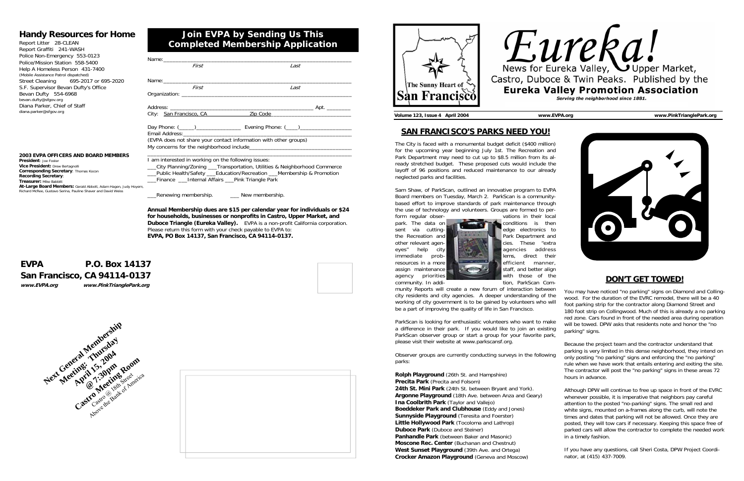| First                        | Last                                                             |
|------------------------------|------------------------------------------------------------------|
| Name:_______________________ |                                                                  |
| First                        | Last                                                             |
|                              |                                                                  |
|                              |                                                                  |
|                              | City: San Francisco, CA 2ip Code 2010 2020                       |
|                              |                                                                  |
|                              | (EVPA does not share your contact information with other groups) |

\_\_\_City Planning/Zoning \_\_\_Transportation, Utilities & Neighborhood Commerce Public Health/Safety Education/Recreation Membership & Promotion Finance Linternal Affairs Pink Triangle Park

Renewing membership. \_\_\_\_\_\_\_\_ New membership.

**Annual Membership dues are \$15 per calendar year for individuals or \$24 for households, businesses or nonprofits in Castro, Upper Market, and Duboce Triangle (Eureka Valley).** EVPA is a non-profit California corporation. Please return this form with your check payable to EVPA to: **EVPA, PO Box 14137, San Francisco, CA 94114-0137.**

# **Join EVPA by Sending Us This Completed Membership Application**

# **Handy Resources for Home**

Report Litter 28-CLEAN Report Graffiti 241-WASH Police Non-Emergency 553-0123 Police/Mission Station 558-5400 Help A Homeless Person 431-7400 (Mobile Assistance Patrol dispatched) Street Cleaning 695-2017 or 695-2020 S.F. Supervisor Bevan Dufty's Office Bevan Dufty 554-6968 bevan.dufty@sfgov.org Diana Parker, Chief of Staff diana.parker@sfgov.org

# **EVPA P.O. Box 14137 San Francisco, CA 94114-0137 www.EVPA.org www.PinkTrianglePark.org**





## **2003 EVPA OFFICERS AND BOARD MEMBERS**

**President**: Joe Foster**Vice President:** Drew Bertagnolli **Corresponding Secretary**: Thomas Kocon **Recording Secretary**: **Treasurer:** Mike Babbitt **At-Large Board Members:** Gerald Abbott, Adam Hagen, Judy Hoyem, Richard McRee, Gustavo Serina, Pauline Shaver and David Weiss





**Volume 123, Issue 4 April 2004 www.EVPA.org www.PinkTrianglePark.org** 

## **SAN FRANCISCO'S PARKS NEED YOU!**

assign maintenance staff, and better align agency priorities **with those of the** community. In addi-<br>
example tion, ParkScan Community Reports will create a new forum of interaction between **DON'T GET TOWED!**You may have noticed "no parking" signs on Diamond and Collingwood. For the duration of the EVRC remodel, there will be a 40 foot parking strip for the contractor along Diamond Street and 180 foot strip on Collingwood. Much of this is already a no parking red zone. Cars found in front of the needed area during operation will be towed. DPW asks that residents note and honor the "no parking" signs.

The City is faced with a monumental budget deficit (\$400 million) for the upcoming year beginning July 1st. The Recreation and Park Department may need to cut up to \$8.5 million from its already stretched budget. These proposed cuts would include the layoff of 96 positions and reduced maintenance to our already neglected parks and facilities.

Sam Shaw, of ParkScan, outlined an innovative program to EVPA Board members on Tuesday, March 2. ParkScan is a communitybased effort to improve standards of park maintenance through the use of technology and volunteers. Groups are formed to per-



city residents and city agencies. A deeper understanding of the working of city government is to be gained by volunteers who will be a part of improving the quality of life in San Francisco. ParkScan is looking for enthusiastic volunteers who want to make a difference in their park. If you would like to join an existing ParkScan observer group or start a group for your favorite park, please visit their website at www.parkscansf.org.

**Precita Park** (Precita and Folsom) **24th St. Mini Park** (24th St. between Bryant and York). **Argonne Playground** (18th Ave. between Anza and Geary) **Ina Coolbrith Park** (Taylor and Vallejo) **Boeddeker Park and Clubhouse** (Eddy and Jones) **Sunnyside Playground** (Teresita and Foerster) **Little Hollywood Park** (Tocoloma and Lathrop) **Duboce Park** (Duboce and Steiner) **Panhandle Park** (between Baker and Masonic) **Moscone Rec. Center** (Buchanan and Chestnut) **West Sunset Playground** (39th Ave. and Ortega) **Crocker Amazon Playground** (Geneva and Moscow)

# Eureka! News for Eureka Valley, U Upper Market, Castro, Duboce & Twin Peaks. Published by the **Eureka Valley Promotion Association** Serving the neighborhood since 1881.



Observer groups are currently conducting surveys in the following parks: **Rolph Playground** (26th St. and Hampshire) Because the project team and the contractor understand that parking is very limited in this dense neighborhood, they intend on only posting "no parking" signs and enforcing the "no parking" rule when we have work that entails entering and exiting the site. The contractor will post the "no parking" signs in these areas 72 hours in advance.

> Although DPW will continue to free up space in front of the EVRC whenever possible, it is imperative that neighbors pay careful attention to the posted "no-parking" signs. The small red and white signs, mounted on a-frames along the curb, will note the times and dates that parking will not be allowed. Once they are posted, they will tow cars if necessary. Keeping this space free of parked cars will allow the contractor to complete the needed work in a timely fashion.

If you have any questions, call Sheri Costa, DPW Project Coordinator, at (415) 437-7009.